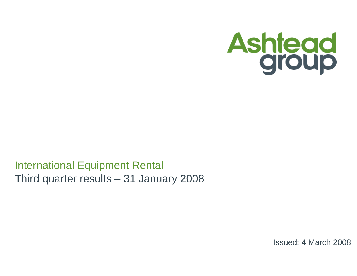

# International Equipment RentalThird quarter results – 31 January 2008

Issued: 4 March 2008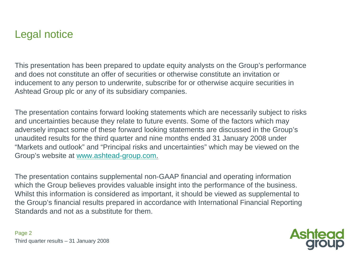# Legal notice

This presentation has been prepared to update equity analysts on the Group's performance and does not constitute an offer of securities or otherwise constitute an invitation or inducement to any person to underwrite, subscribe for or otherwise acquire securities in Ashtead Group plc or any of its subsidiary companies.

The presentation contains forward looking statements which are necessarily subject to risks and uncertainties because they relate to future events. Some of the factors which may adversely impact some of these forward looking statements are discussed in the Group's unaudited results for the third quarter and nine months ended 31 January 2008 under "Markets and outlook" and "Principal risks and uncertainties" which may be viewed on the Group's website at www.ashtead-group.com.

The presentation contains supplemental non-GAAP financial and operating information which the Group believes provides valuable insight into the performance of the business. Whilst this information is considered as important, it should be viewed as supplemental to the Group's financial results prepared in accordance with International Financial Reporting Standards and not as a substitute for them.

**Ashteg**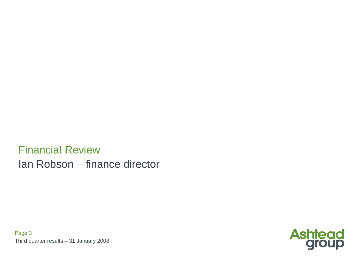Financial ReviewIan Robson – finance director

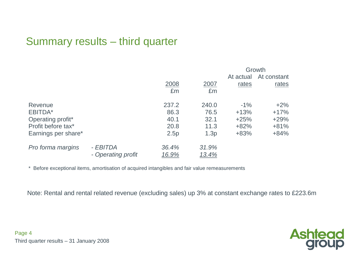# Summary results – third quarter

|                     |                    |              | Growth       |           |             |  |  |  |
|---------------------|--------------------|--------------|--------------|-----------|-------------|--|--|--|
|                     |                    |              |              | At actual | At constant |  |  |  |
|                     |                    | 2008         | 2007         | rates     | rates       |  |  |  |
|                     |                    | £m           | £m           |           |             |  |  |  |
| Revenue             |                    | 237.2        | 240.0        | $-1\%$    | $+2\%$      |  |  |  |
| EBITDA*             |                    | 86.3         | 76.5         | $+13%$    | $+17%$      |  |  |  |
| Operating profit*   |                    | 40.1         | 32.1         | $+25%$    | $+29%$      |  |  |  |
| Profit before tax*  |                    | 20.8         | 11.3         | $+82%$    | $+81%$      |  |  |  |
| Earnings per share* |                    | 2.5p         | 1.3p         | $+83%$    | $+84%$      |  |  |  |
| Pro forma margins   | - EBITDA           | 36.4%        | 31.9%        |           |             |  |  |  |
|                     | - Operating profit | <u>16.9%</u> | <u>13.4%</u> |           |             |  |  |  |

\* Before exceptional items, amortisation of acquired intangibles and fair value remeasurements

Note: Rental and rental related revenue (excluding sales) up 3% at constant exchange rates to £223.6m

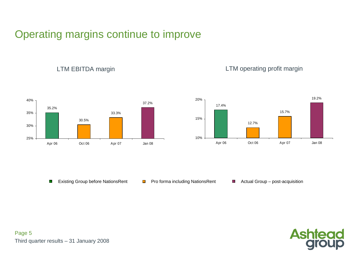# Operating margins continue to improve



LTM EBITDA margin

#### LTM operating profit margin



Existing Group before NationsRent $\mathcal{L}_{\mathcal{A}}$ 

- **Pro forma including NationsRent Actual Group post-acquisition** 
	-

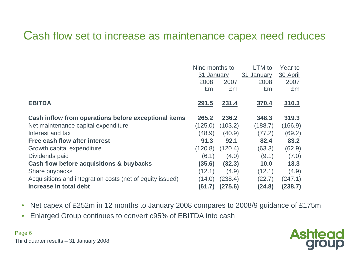# Cash flow set to increase as maintenance capex need reduces

|                                                           | Nine months to |                | LTM to        | Year to        |
|-----------------------------------------------------------|----------------|----------------|---------------|----------------|
|                                                           | 31 January     |                | 31 January    | 30 April       |
|                                                           | 2008           | 2007           | 2008          | 2007           |
|                                                           | £m             | £m             | £m            | £m             |
|                                                           |                |                |               |                |
| <b>EBITDA</b>                                             | <u>291.5</u>   | 231.4          | 370.4         | 310.3          |
| Cash inflow from operations before exceptional items      | 265.2          | 236.2          | 348.3         | 319.3          |
| Net maintenance capital expenditure                       | (125.0)        | (103.2)        | (188.7)       | (166.9)        |
| Interest and tax                                          | (48.9)         | (40.9)         | (77.2)        | (69.2)         |
| Free cash flow after interest                             | 91.3           | 92.1           | 82.4          | 83.2           |
| Growth capital expenditure                                | (120.8)        | (120.4)        | (63.3)        | (62.9)         |
| Dividends paid                                            | (6.1)          | (4.0)          | (9.1)         | (7.0)          |
| Cash flow before acquisitions & buybacks                  | (35.6)         | (32.3)         | 10.0          | 13.3           |
| Share buybacks                                            | (12.1)         | (4.9)          | (12.1)        | (4.9)          |
| Acquisitions and integration costs (net of equity issued) | (14.0)         | (238.4)        | (22.7)        | (247.1)        |
| Increase in total debt                                    | <u>(61.7)</u>  | <u>(275.6)</u> | <u>(24.8)</u> | <u>(238.7)</u> |

- •Net capex of £252m in 12 months to January 2008 compares to 2008/9 guidance of £175m
- $\bullet$ Enlarged Group continues to convert c95% of EBITDA into cash

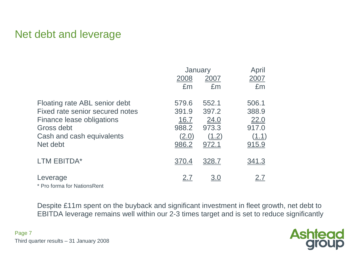# Net debt and leverage

|                                 |            | January    | April        |
|---------------------------------|------------|------------|--------------|
|                                 | 2008       | 2007       | 2007         |
|                                 | £m         | £m         | £m           |
| Floating rate ABL senior debt   | 579.6      | 552.1      | 506.1        |
| Fixed rate senior secured notes | 391.9      | 397.2      | 388.9        |
| Finance lease obligations       | 16.7       | 24.0       | 22.0         |
| Gross debt                      | 988.2      | 973.3      | 917.0        |
| Cash and cash equivalents       | (2.0)      | (1.2)      | (1.1)        |
| Net debt                        | 986.2      | 972.1      | <u>915.9</u> |
| LTM EBITDA*                     | 370.4      | 328.7      | <u>341.3</u> |
| Leverage                        | <u>2.7</u> | <u>3.0</u> | <u>2.7</u>   |

\* Pro forma for NationsRent

Despite £11m spent on the buyback and significant investment in fleet growth, net debt to EBITDA leverage remains well within our 2-3 times target and is set to reduce significantly

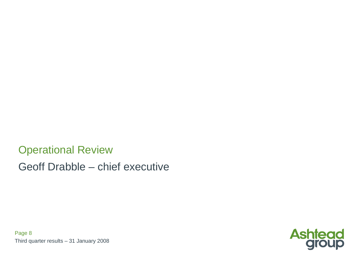Operational ReviewGeoff Drabble – chief executive

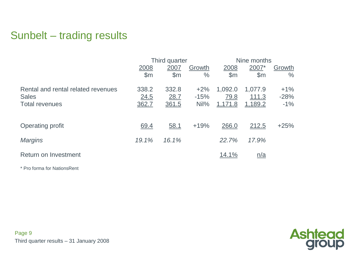# Sunbelt – trading results

|                                    |                | Third quarter |               | Nine months   |                               |               |
|------------------------------------|----------------|---------------|---------------|---------------|-------------------------------|---------------|
|                                    | 2008           | 2007          | Growth        | 2008          | 2007*                         | Growth        |
|                                    | $\mathsf{S}$ m | $\mathsf{Sm}$ | $\frac{0}{0}$ | $\mathsf{Sm}$ | \$m\$                         | $\frac{0}{0}$ |
| Rental and rental related revenues | 338.2          | 332.8         | $+2%$         | 1,092.0       | 1,077.9                       | $+1\%$        |
| <b>Sales</b>                       | 24.5           | 28.7          | $-15%$        | 79.8          | 111.3                         | $-28%$        |
| <b>Total revenues</b>              | 362.7          | 361.5         | $Nil\%$       | 1,171.8       | 1,189.2                       | $-1\%$        |
|                                    |                |               |               |               |                               |               |
| Operating profit                   | 69.4           | 58.1          | $+19%$        | 266.0         | 212.5                         | $+25%$        |
| <b>Margins</b>                     | 19.1%          | 16.1%         |               | 22.7%         | 17.9%                         |               |
| Return on Investment               |                |               |               | <u>14.1%</u>  | $\underline{n}/\underline{a}$ |               |

\* Pro forma for NationsRent

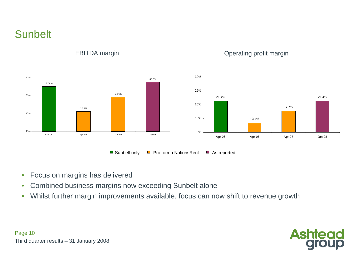**Sunbelt** 



EBITDA margin

#### Operating profit margin

- •Focus on margins has delivered
- Combined business margins now exceeding Sunbelt alone•
- Whilst further margin improvements available, focus can now shift to revenue growth  $\bullet$

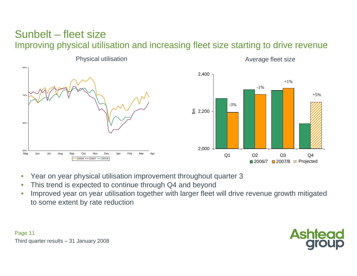#### Sunbelt – fleet sizeImproving physical utilisation and increasing fleet size starting to drive revenue



- •Year on year physical utilisation improvement throughout quarter <sup>3</sup>
- •This trend is expected to continue through Q4 and beyond
- Improved year on year utilisation together with larger fleet will drive revenue growth mitigated •to some extent by rate reduction

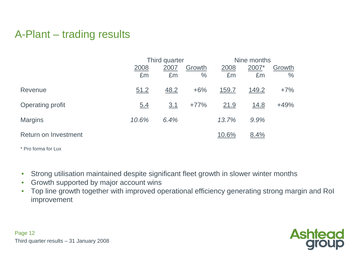# A-Plant – trading results

|                      |            | Third quarter |                | Nine months  |             |                |  |
|----------------------|------------|---------------|----------------|--------------|-------------|----------------|--|
|                      | 2008<br>£m | 2007<br>£m    | Growth<br>$\%$ | 2008<br>£m   | 2007*<br>£m | Growth<br>$\%$ |  |
| Revenue              | 51.2       | 48.2          | $+6%$          | <u>159.7</u> | 149.2       | $+7%$          |  |
| Operating profit     | 5.4        | 3.1           | $+77%$         | 21.9         | <u>14.8</u> | $+49%$         |  |
| <b>Margins</b>       | 10.6%      | 6.4%          |                | 13.7%        | 9.9%        |                |  |
| Return on Investment |            |               |                | 10.6%        | 8.4%        |                |  |

\* Pro forma for Lux

- •Strong utilisation maintained despite significant fleet growth in slower winter months
- •Growth supported by major account wins
- Top line growth together with improved operational efficiency generating strong margin and RoI •improvement

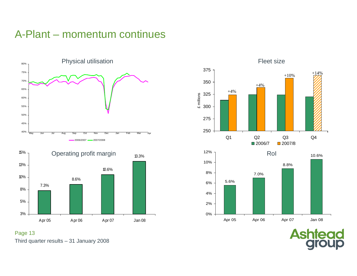# A-Plant – momentum continues



Apr 05 Apr 06 Apr 07 Jan 08



Third quarter results – 31 January 2008 Page 13

3%

5%

8%

**Ashtead**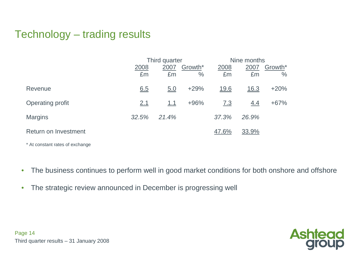# Technology – trading results

|                                 |       | Third quarter |         | Nine months       |             |               |  |  |
|---------------------------------|-------|---------------|---------|-------------------|-------------|---------------|--|--|
|                                 | 2008  | 2007          | Growth* | 2008              | 2007        | Growth*       |  |  |
|                                 | £m    | £m            | $\%$    | £m                | £m          | $\frac{0}{0}$ |  |  |
| Revenue                         | 6.5   | 5.0           | $+29%$  | 19.6              | <u>16.3</u> | $+20%$        |  |  |
| Operating profit                | 2.1   | 1.1           | $+96%$  | $\underline{7.3}$ | 4.4         | $+67%$        |  |  |
| <b>Margins</b>                  | 32.5% | 21.4%         |         | 37.3%             | 26.9%       |               |  |  |
| Return on Investment            |       |               |         | 47.6%             | 33.9%       |               |  |  |
| * At constant rates of exchange |       |               |         |                   |             |               |  |  |

 $\bullet$ The business continues to perform well in good market conditions for both onshore and offshore

 $\bullet$ The strategic review announced in December is progressing well

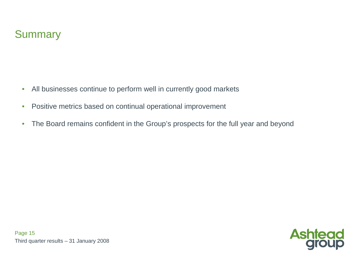- $\bullet$ All businesses continue to perform well in currently good markets
- $\bullet$ Positive metrics based on continual operational improvement
- $\bullet$ The Board remains confident in the Group's prospects for the full year and beyond



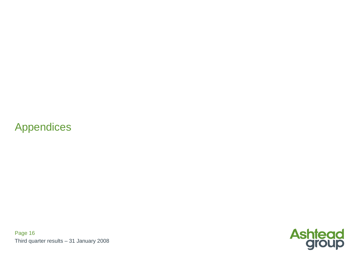# Appendices

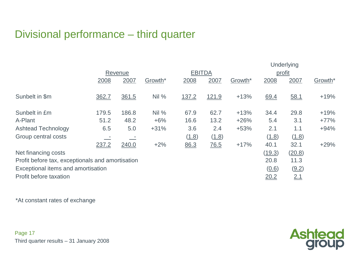# Divisional performance – third quarter

|                                                  |       |         |         |               | Underlying         |         |        |        |         |  |
|--------------------------------------------------|-------|---------|---------|---------------|--------------------|---------|--------|--------|---------|--|
|                                                  |       | Revenue |         | <b>EBITDA</b> |                    |         | profit |        |         |  |
|                                                  | 2008  | 2007    | Growth* | 2008          | 2007               | Growth* | 2008   | 2007   | Growth* |  |
|                                                  |       |         |         |               |                    |         |        |        |         |  |
| Sunbelt in \$m                                   | 362.7 | 361.5   | Nil %   | 137.2         | 121.9              | $+13%$  | 69.4   | 58.1   | $+19%$  |  |
|                                                  |       |         |         |               |                    |         |        |        |         |  |
| Sunbelt in £m                                    | 179.5 | 186.8   | Nil%    | 67.9          | 62.7               | $+13%$  | 34.4   | 29.8   | $+19%$  |  |
| A-Plant                                          | 51.2  | 48.2    | $+6%$   | 16.6          | 13.2               | $+26%$  | 5.4    | 3.1    | $+77%$  |  |
| <b>Ashtead Technology</b>                        | 6.5   | 5.0     | $+31%$  | 3.6           | 2.4                | $+53%$  | 2.1    | 1.1    | $+94%$  |  |
| Group central costs                              |       |         |         | (1.8)         | (1.8)              |         | (1.8)  | (1.8)  |         |  |
|                                                  | 237.2 | 240.0   | $+2%$   | 86.3          | $\underline{76.5}$ | $+17%$  | 40.1   | 32.1   | $+29%$  |  |
| Net financing costs                              |       |         |         |               |                    |         | (19.3) | (20.8) |         |  |
| Profit before tax, exceptionals and amortisation |       |         |         |               |                    |         | 20.8   | 11.3   |         |  |
| Exceptional items and amortisation               |       |         |         | (0.6)         | (9.2)              |         |        |        |         |  |
| Profit before taxation                           |       |         |         |               |                    |         | 20.2   | 2.1    |         |  |

\*At constant rates of exchange

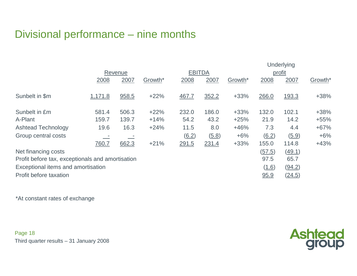# Divisional performance – nine months

|                                                  |         |         |         |               |       | Underlying |        |              |         |  |  |
|--------------------------------------------------|---------|---------|---------|---------------|-------|------------|--------|--------------|---------|--|--|
|                                                  |         | Revenue |         | <b>EBITDA</b> |       |            | profit |              |         |  |  |
|                                                  | 2008    | 2007    | Growth* | 2008          | 2007  | Growth*    | 2008   | 2007         | Growth* |  |  |
| Sunbelt in \$m                                   | 1,171.8 | 958.5   | $+22%$  | 467.7         | 352.2 | $+33%$     | 266.0  | <u>193.3</u> | $+38%$  |  |  |
| Sunbelt in £m                                    | 581.4   | 506.3   | $+22%$  | 232.0         | 186.0 | $+33%$     | 132.0  | 102.1        | $+38%$  |  |  |
| A-Plant                                          | 159.7   | 139.7   | $+14%$  | 54.2          | 43.2  | $+25%$     | 21.9   | 14.2         | $+55%$  |  |  |
| <b>Ashtead Technology</b>                        | 19.6    | 16.3    | $+24%$  | 11.5          | 8.0   | $+46%$     | 7.3    | 4.4          | $+67%$  |  |  |
| Group central costs                              |         |         |         | (6.2)         | (5.8) | $+6%$      | (6.2)  | (5.9)        | $+6%$   |  |  |
|                                                  | 760.7   | 662.3   | $+21%$  | 291.5         | 231.4 | $+33%$     | 155.0  | 114.8        | $+43%$  |  |  |
| Net financing costs                              |         |         |         |               |       |            | (57.5) | (49.1)       |         |  |  |
| Profit before tax, exceptionals and amortisation |         |         |         |               |       |            | 97.5   | 65.7         |         |  |  |
| Exceptional items and amortisation               |         |         |         |               |       |            | (1.6)  | (94.2)       |         |  |  |
| Profit before taxation                           |         |         |         |               |       |            | 95.9   | (24.5)       |         |  |  |

\*At constant rates of exchange

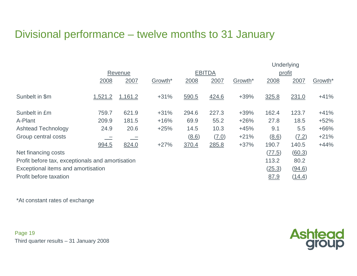# Divisional performance – twelve months to 31 January

|                                                  |         |         |                     | Underlying          |               |         |        |        |         |
|--------------------------------------------------|---------|---------|---------------------|---------------------|---------------|---------|--------|--------|---------|
|                                                  |         | Revenue |                     |                     | <b>EBITDA</b> |         | profit |        |         |
|                                                  | 2008    | 2007    | Growth <sup>*</sup> | 2008                | 2007          | Growth* | 2008   | 2007   | Growth* |
| Sunbelt in \$m                                   | 1,521.2 | 1,161.2 | $+31%$              | 590.5               | 424.6         | $+39%$  | 325.8  | 231.0  | $+41%$  |
| Sunbelt in £m                                    | 759.7   | 621.9   | $+31%$              | 294.6               | 227.3         | $+39%$  | 162.4  | 123.7  | $+41%$  |
| A-Plant                                          | 209.9   | 181.5   | $+16%$              | 69.9                | 55.2          | $+26%$  | 27.8   | 18.5   | $+52%$  |
| <b>Ashtead Technology</b>                        | 24.9    | 20.6    | $+25%$              | 14.5                | 10.3          | $+45%$  | 9.1    | 5.5    | $+66%$  |
| Group central costs                              |         |         |                     | $\underline{(8.6)}$ | (7.0)         | $+21%$  | (8.6)  | (7.2)  | $+21%$  |
|                                                  | 994.5   | 824.0   | $+27%$              | 370.4               | 285.8         | $+37%$  | 190.7  | 140.5  | $+44%$  |
| Net financing costs                              |         |         |                     |                     |               |         | (77.5) | (60.3) |         |
| Profit before tax, exceptionals and amortisation |         |         |                     |                     |               |         | 113.2  | 80.2   |         |
| Exceptional items and amortisation               |         |         |                     |                     |               |         | (25.3) | (94.6) |         |
| Profit before taxation                           |         |         |                     |                     |               |         | 87.9   | (14.4) |         |

\*At constant rates of exchange

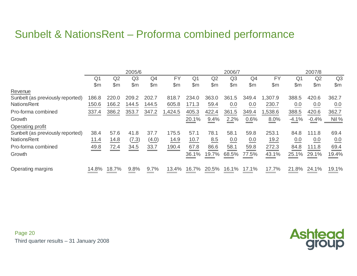# Sunbelt & NationsRent – Proforma combined performance

|                                  |                | 2005/6         |       |               |               |                |       | 2006/7         |                |                | 2007/8         |               |                |
|----------------------------------|----------------|----------------|-------|---------------|---------------|----------------|-------|----------------|----------------|----------------|----------------|---------------|----------------|
|                                  | Q <sub>1</sub> | Q2             | Q3    | Q4            | <b>FY</b>     | Q <sub>1</sub> | Q2    | Q <sub>3</sub> | Q <sub>4</sub> | <b>FY</b>      | Q <sub>1</sub> | Q2            | Q <sub>3</sub> |
|                                  | \$m            | $\mathsf{S}$ m | \$m\$ | $\mathsf{Sm}$ | $\mathsf{Sm}$ | $\mathsf{Sm}$  | \$m\$ | \$m\$          | \$m\$          | $\mathsf{S}$ m | \$m\$          | $\mathsf{Sm}$ | $\mathsf{Sm}$  |
| Revenue                          |                |                |       |               |               |                |       |                |                |                |                |               |                |
| Sunbelt (as previously reported) | 186.8          | 220            | 209.2 | 202.7         | 818.7         | 234.0          | 363.0 | .5<br>361      | 349.4          | .307.9         | 388.5          | 420.6         | 362.7          |
| <b>NationsRent</b>               | 150.6          | 166.2          | 144.5 | 144.5         | 605.8         | 171.3          | 59.4  | 0.0            | 0.0            | 230.7          | 0.0            | 0.0           | 0.0            |
| Pro-forma combined               | 337.4          | 386.2          | 353.7 | 347.2         | ,424.5        | 405.3          | 422.4 | 361.5          | 349.4          | 1,538.6        | 388.5          | 420.6         | 362.7          |
| Growth                           |                |                |       |               |               | 20.1%          | 9.4%  | 2.2%           | 0.6%           | 8.0%           | $-4.1%$        | $-0.4%$       | Nil %          |
| Operating profit                 |                |                |       |               |               |                |       |                |                |                |                |               |                |
| Sunbelt (as previously reported) | 38.4           | 57.6           | 41.8  | 37.7          | 175.5         | 57.1           | 78.1  | 58.1           | 59.8           | 253.1          | 84.8           | 111.8         | 69.4           |
| <b>NationsRent</b>               | 11.4           | 14.8           | (7.3) | (4.0)         | 14.9          | 10.7           | 8.5   | 0.0            | 0.0            | 19.2           | 0.0            | 0.0           | 0.0            |
| Pro-forma combined               | 49.8           | 72.4           | 34.5  | 33.7          | 190.4         | 67.8           | 86.6  | 58.1           | 59.8           | 272.3          | 84.8           | 111.8         | 69.4           |
| Growth                           |                |                |       |               |               | 36.1%          | 19.7% | 68.5%          | 77.5%          | 43.1%          | 25.1%          | 29.1%         | 19.4%          |
| Operating margins                | 14.8%          | 18.7%          | 9.8%  | 9.7%          | 13.4%         | 16.7%          | 20.5% | 16.1%          | 17.1%          | 17.7%          | 21.8%          | 24.1%         | 19.1%          |